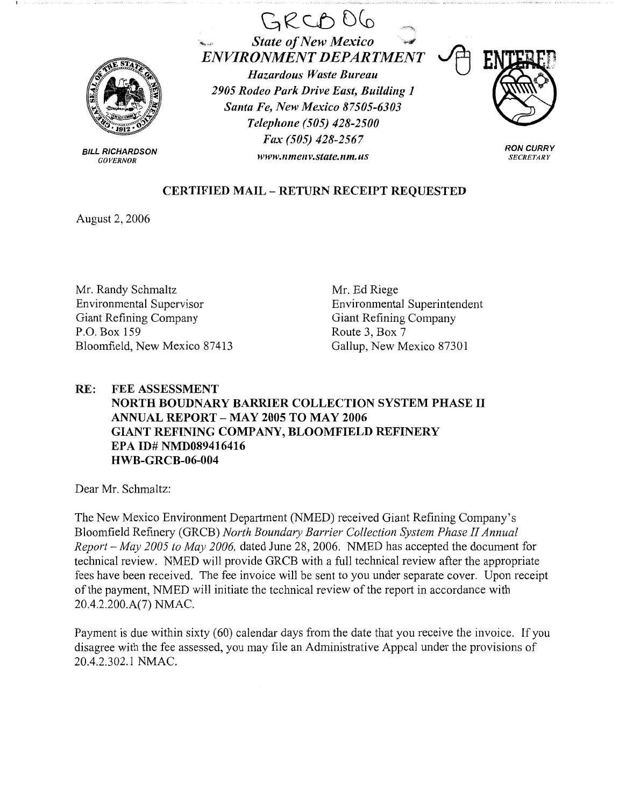

BILL RICHARDSON **GOVERNOR** 





**RON CURRY SECRETARY** 

## **CERTIFIED MAIL** - **RETURN RECEIPT REQUESTED**

August 2, 2006

Mr. Randy Schmaltz Environmental Supervisor Giant Refining Company P.O. Box 159 Bloomfield, New Mexico 87413

Mr. Ed Riege Environmental Superintendent Giant Refining Company Route 3, Box 7 Gallup, New Mexico 87301

## **RE: FEE ASSESSMENT NORTH BOUDNARY BARRIER COLLECTION SYSTEM PHASE** II **ANNUAL REPORT** - **MAY 2005 TO MAY 2006 GIANT REFINING COMPANY, BLOOMFIELD REFINERY EPA ID# NMD089416416 HWB-GRCB-06-004**

Dear Mr. Schmaltz:

The New Mexico Environment Department (NMED) received Giant Refining Company's Bloomfield Refinery (GRCB) *North Boundary Barrier Collection System Phase II Annual Report* - *May 2005 to May 2006,* dated June 28, 2006. NMED has accepted the document for technical review. NMED will provide GRCB with a full technical review after the appropriate fees have been received. The fee invoice will be sent to you under separate cover. Upon receipt of the payment, NMED will initiate the technical review of the report in accordance with 20.4.2.200.A(7) NMAC.

Payment is due within sixty (60) calendar days from the date that you receive the invoice. If you disagree with the fee assessed, you may file an Administrative Appeal under the provisions of 20.4.2.302.1 NMAC.